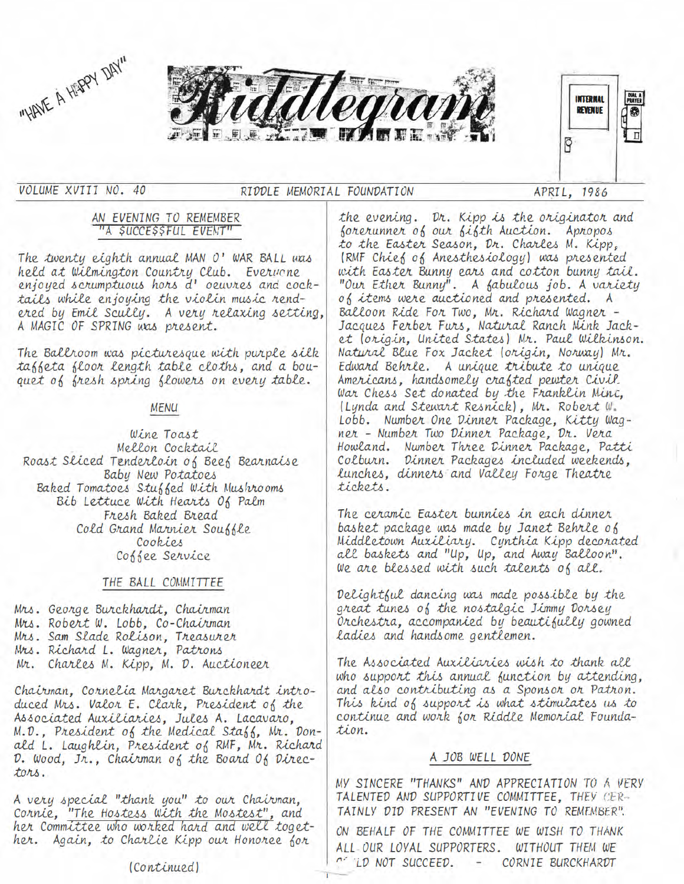



VOLUME XVIII NO. 40

## RIDDLE MEMORIAL FOUNDATION

APRIL, 1986

P

**INTERNAL** 

**REVENUE** 

DIAL<br>Praye

### AN EVENING TO REMEMBER "A \$UCCE\$\$FUL EVENT"

The twenty eighth annual MAN O' WAR BALL was held at Wilmington Country Club. Everyone enjoyed scrumptuous hors d' oeuvres and cocktails while enjoying the violin music rendered by Emil Scully. A very relaxing setting, A MAGIC OF SPRING was present.

The Ballroom was picturesque with purple silk tableta bloor length table cloths, and a bouquet of fresh spring flowers on every table.

## **MENU**

Wine Toast Mellon Cocktail Roast Sliced Tenderloin of Beef Bearnaise Baby New Potatoes Baked Tomatoes Stuffed With Mushrooms Bib Lettuce With Hearts Of Palm Fresh Baked Bread Cold Grand Marnier Souffle Cookies Coffee Service

## THE BALL COMMITTEE

Mrs. George Burckhardt, Chairman Mrs. Robert W. Lobb, Co-Chairman Mrs. Sam Slade Rolison, Treasurer Mrs. Richard L. Wagner, Patrons Mr. Charles M. Kipp, M. D. Auctioneer

Chairman, Cornelia Margaret Burckhardt introduced Mrs. Valor E. Clark, President of the Associated Auxiliaries, Jules A. Lacavaro, M.D., President of the Medical Staff, Mr. Donald L. Laughlin, President of RMF, Mr. Richard D. Wood, Jr., Chairman of the Board Of Directors.

A very special "thank you" to our Chairman, Cornie, "The Hostess With the Mostest", and her Committee who worked hard and well together. Again, to Charlie Kipp our Honoree for

forerunner of our fifth Auction. Apropos to the Easter Season, Dr. Charles M. Kipp, (RMF Chief of Anesthesiology) was presented with Easter Bunny ears and cotton bunny tail. "Our Ether Bunny". A fabulous job. A variety of items were auctioned and presented. A Balloon Ride For Two, Mr. Richard Wagner -Jacques Ferber Furs, Natural Ranch Mink Jacket (origin, United States) Mr. Paul Wilkinson. Natural Blue Fox Jacket (origin, Norway) Mr. Edward Behrle. A unique tribute to unique Americans, handsomely crafted pewter Civil. War Chess Set donated by the Franklin Minc, (Lynda and Stewart Resnick), Mr. Robert W. Lobb. Number One Dinner Package, Kitty Wagner - Number Two Dinner Package, Dr. Vera Howland. Number Three Dinner Package, Patti Colburn. Dinner Packages included weekends, lunches, dinners and Valley Forge Theatre tickets.

the evening. Dr. Kipp is the originator and

The ceramic Easter bunnies in each dinner basket package was made by Janet Behrle of Middletown Auxiliary. Cynthia Kipp decorated all baskets and "Up, Up, and Away Balloon". We are blessed with such talents of all.

Delightful dancing was made possible by the great tunes of the nostalgic Jimmy Dorsey Orchestra, accompanied by beautifully gowned ladies and handsome gentlemen.

The Associated Auxiliaries wish to thank all who support this annual function by attending, and also contributing as a Sponsor or Patron. This kind of support is what stimulates us to continue and work for Riddle Memorial Foundation.

# A JOB WELL DONE

MY SINCERE "THANKS" AND APPRECIATION TO A VERY TALENTED AND SUPPORTIVE COMMITTEE, THEY CER-TAINLY DID PRESENT AN "EVENING TO REMEMBER".

ON BEHALF OF THE COMMITTEE WE WISH TO THANK ALL OUR LOYAL SUPPORTERS. WITHOUT THEM WE **CONCORDINATION** SUCCEED. - CORNIE BURCKHARDT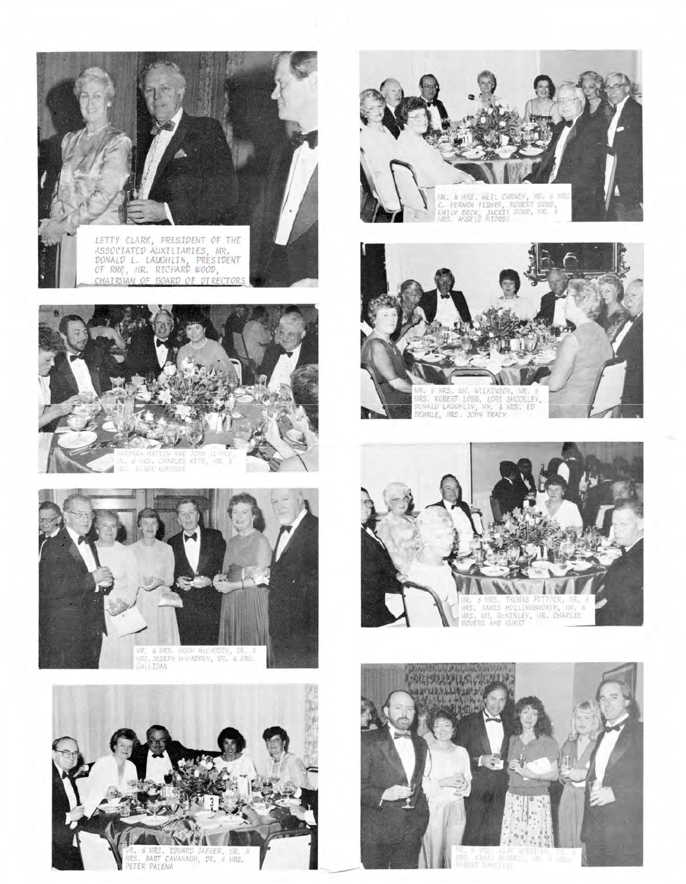















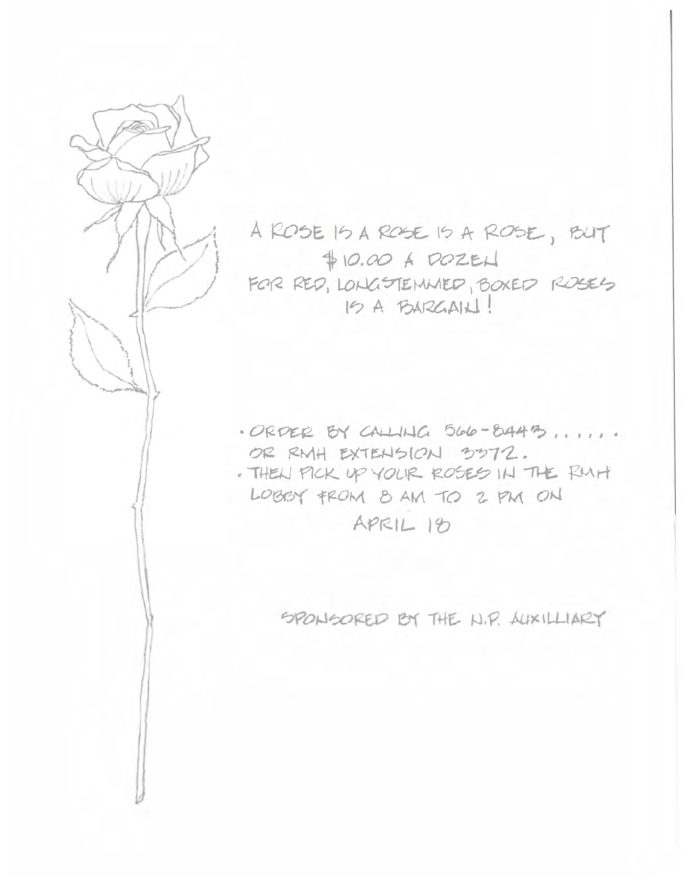

A ROSE IS A ROSE IS A ROSE, BUT  $$10.00 A DOZEL$ FOR RED, LONGSTEMMED, BOXED ROSES 15 A BARGAIN!

· ORDER BY CALLING 566-8443, ..... OR RMH EXTENSION 3372. . THEN PICK UP YOUR ROSES IN THE RMH LOBEY FROM 8 AM TO 2 PM ON APRIL 18

SPONSORED BY THE N.P. AUXILLIARY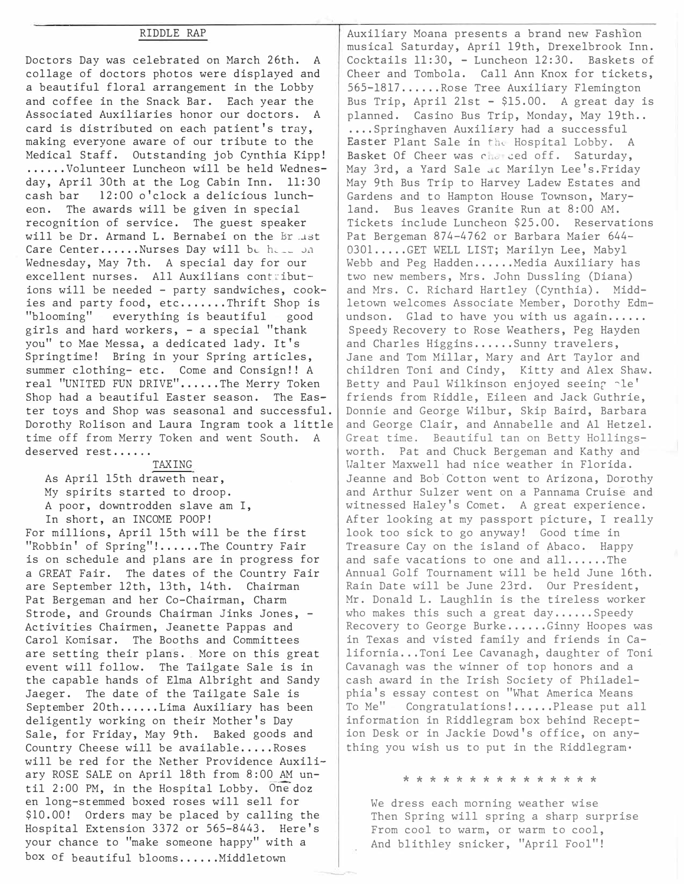### RIDDLE RAP

Doctors Day was celebrated on March 26th. A collage of doctors photos were displayed and a beautiful floral arrangement in the Lobby and coffee in the Snack Bar. Each year the Associated Auxiliaries honor our doctors. A card is distributed on each patient's tray, making everyone aware of our tribute to the Medical Staff. Outstanding job Cynthia Kipp! ...... Volunteer Luncheon will be held Wednesday, April 30th at the Log Cabin Inn. 11:30 cash bar 12:00 o'clock a delicious luncheon. The awards will be given in special recognition of service. The guest speaker will be Dr. Armand L. Bernabei on the Br .Jst Care Center...... Nurses Day will be here on Wednesday, May 7th. A special day for our excellent nurses. All Auxilians contributions will be needed - party sandwiches, cookies and party food, etc.......Thrift Shop is "blooming" everything is beautiful good girls and hard workers, - a special "thank you" to Mae Messa, a dedicated lady. It's Springtime! Bring in your Spring articles, summer clothing- etc. Come and Consign!! A real "UNITED FUN DRIVE"......The Merry Token Shop had a beautiful Easter season. The Easter toys and Shop was seasonal and successful. Dorothy Rolison and Laura Ingram took a little time off from Merry Token and went South. deserved rest......

TAXING As April 15th draweth near, My spirits started to droop. A poor, downtrodden slave am I, In short, an INCOME POOP!

For millions, April 15th will be the first "Robbin' of Spring"!......The Country Fair is on schedule and plans are in progress for a GREAT Fair. The dates of the Country Fair are September 12th, 13th, 14th. Chairman Pat Bergeman and her Co-Chairman, Charm Strode, and Grounds Chairman Jinks Jones, - Activities Chairmen, Jeanette Pappas and Carol Komisar. The Booths and Committees are setting their plans. More on this great event will follow. The Tailgate Sale is in the capable hands of Elma Albright and Sandy Jaeger. The date of the Tailgate Sale is September 20th......Lima Auxiliary has been deligently working on their Mother's Day Sale, for Friday, May 9th. Baked goods and Country Cheese will be available..... Roses will be red for the Nether Providence Auxiliary ROSE SALE on April 18th from 8:00 AM until 2:00 PM, in the Hospital Lobby. One doz en long-stemmed boxed roses will sell for \$10.00! Orders may be placed by calling the Hospital Extension 3372 or 565-8443. Here's your chance to "make someone happy" with a box of beautiful blooms...... Middletown

Auxiliary Moana presents a brand new Fashion musical Saturday, April 19th, Drexelbrook Inn. Cocktails 11:30, - Luncheon 12:30. Baskets of Cheer and Tombola. Call Ann Knox for tickets, 565-1817 ...... Rose Tree Auxiliary Flemington Bus Trip, April 21st - \$15.00. A great day is planned. Casino Bus Trip, Monday, May 19th.. .•.. Springhaven Auxiliary had a successful Easter Plant Sale in the Hospital Lobby. A Basket Of Cheer was cho ced off. Saturday, May 3rd, a Yard Sale ac Marilyn Lee's. Friday May 9th Bus Trip to Harvey Ladew Estates and Gardens and to Hampton House Townson, Maryland. Bus leaves Granite Run at 8:00 AM. Tickets include Luncheon \$25.00. Reservations Pat Bergeman 874-4762 or Barbara Maier 644- 0301.....GET WELL LIST; Marilyn Lee, Mabyl Webb and Peg Hadden......Media Auxiliary has two new members, Mrs. John Dussling (Diana) and Mrs. C. Richard Hartley (Cynthia). Middletown welcomes Associate Member, Dorothy Edmundson. Glad to have you with us again...... Speedy Recovery to Rose Weathers, Peg Hayden and Charles Higgins......Sunny travelers, Jane and Tom Millar, Mary and Art Taylor and children Toni and Cindy, Kitty and Alex Shaw. Betty and Paul Wilkinson enjoyed seeing  $\neg$ le' friends from Riddle, Eileen and Jack Guthrie, Donnie and George Wilbur, Skip Baird, Barbara and George Clair, and Annabelle and Al Hetzel. Great time. Beautiful tan on Betty Hollingsworth. Pat and Chuck Bergeman and Kathy and Walter Maxwell had nice weather in Florida. Jeanne and Bob Cotton went to Arizona, Dorothy and Arthur Sulzer went on a Pannama Cruise and witnessed Haley's Comet. A great experience. After looking at my passport picture, I really look too sick to go anyway! Good time in Treasure Cay on the island of Abaco. Happy and safe vacations to one and all......The Annual Golf Tournament will be held June 16th. Rain Date will be June 23rd. Our President, Mr. Donald L. Laughlin is the tireless worker who makes this such a great day......Speedy Recovery to George Burke......Ginny Hoopes was in Texas and visted family and friends in California...Toni Lee Cavanagh, daughter of Toni Cavanagh was the winner of top honors and a cash award in the Irish Society of Philadelphia's essay contest on "What America Means To Me" Congratulations!.....Please put all information in Riddlegram box behind Reception Desk or in Jackie Dowd's office, on anything you wish us to put in the Riddlegram.

### \* \* \* \* \* \* \* \* \* \* \* \* \* \* \*

We dress each morning weather wise Then Spring will spring a sharp surprise From cool to warm, or warm to cool, And blithley snicker, "April Fool"!